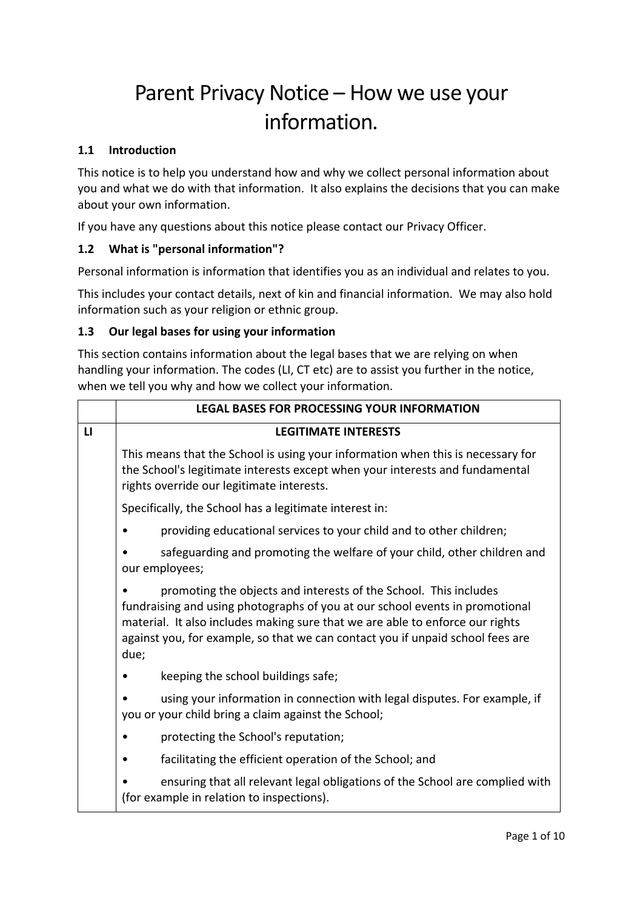# Parent Privacy Notice – How we use your information.

#### **1.1 Introduction**

This notice is to help you understand how and why we collect personal information about you and what we do with that information. It also explains the decisions that you can make about your own information.

If you have any questions about this notice please contact our Privacy Officer.

## **1.2 What is "personal information"?**

Personal information is information that identifies you as an individual and relates to you.

This includes your contact details, next of kin and financial information. We may also hold information such as your religion or ethnic group.

#### **1.3 Our legal bases for using your information**

This section contains information about the legal bases that we are relying on when handling your information. The codes (LI, CT etc) are to assist you further in the notice, when we tell you why and how we collect your information.

|              | <b>LEGAL BASES FOR PROCESSING YOUR INFORMATION</b>                                                                                                                                                                                                                                                                          |  |  |  |  |  |  |  |  |
|--------------|-----------------------------------------------------------------------------------------------------------------------------------------------------------------------------------------------------------------------------------------------------------------------------------------------------------------------------|--|--|--|--|--|--|--|--|
| $\mathbf{L}$ | <b>LEGITIMATE INTERESTS</b>                                                                                                                                                                                                                                                                                                 |  |  |  |  |  |  |  |  |
|              | This means that the School is using your information when this is necessary for<br>the School's legitimate interests except when your interests and fundamental<br>rights override our legitimate interests.                                                                                                                |  |  |  |  |  |  |  |  |
|              | Specifically, the School has a legitimate interest in:                                                                                                                                                                                                                                                                      |  |  |  |  |  |  |  |  |
|              | providing educational services to your child and to other children;                                                                                                                                                                                                                                                         |  |  |  |  |  |  |  |  |
|              | safeguarding and promoting the welfare of your child, other children and<br>our employees;                                                                                                                                                                                                                                  |  |  |  |  |  |  |  |  |
|              | promoting the objects and interests of the School. This includes<br>fundraising and using photographs of you at our school events in promotional<br>material. It also includes making sure that we are able to enforce our rights<br>against you, for example, so that we can contact you if unpaid school fees are<br>due; |  |  |  |  |  |  |  |  |
|              | keeping the school buildings safe;                                                                                                                                                                                                                                                                                          |  |  |  |  |  |  |  |  |
|              | using your information in connection with legal disputes. For example, if<br>you or your child bring a claim against the School;                                                                                                                                                                                            |  |  |  |  |  |  |  |  |
|              | protecting the School's reputation;                                                                                                                                                                                                                                                                                         |  |  |  |  |  |  |  |  |
|              | facilitating the efficient operation of the School; and                                                                                                                                                                                                                                                                     |  |  |  |  |  |  |  |  |
|              | ensuring that all relevant legal obligations of the School are complied with<br>(for example in relation to inspections).                                                                                                                                                                                                   |  |  |  |  |  |  |  |  |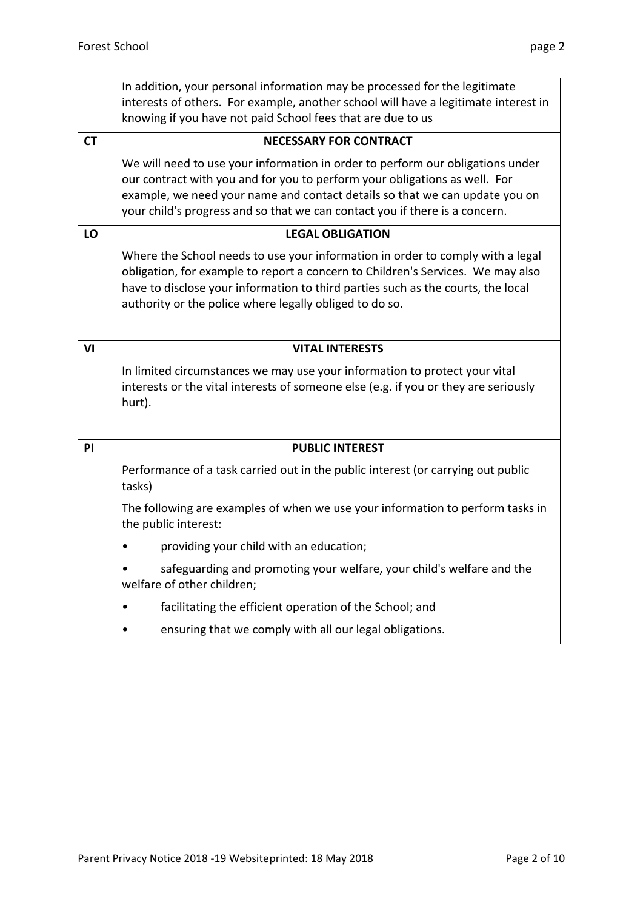|           | In addition, your personal information may be processed for the legitimate<br>interests of others. For example, another school will have a legitimate interest in<br>knowing if you have not paid School fees that are due to us                                                                                           |  |  |  |  |  |  |  |
|-----------|----------------------------------------------------------------------------------------------------------------------------------------------------------------------------------------------------------------------------------------------------------------------------------------------------------------------------|--|--|--|--|--|--|--|
| <b>CT</b> | <b>NECESSARY FOR CONTRACT</b>                                                                                                                                                                                                                                                                                              |  |  |  |  |  |  |  |
|           | We will need to use your information in order to perform our obligations under<br>our contract with you and for you to perform your obligations as well. For<br>example, we need your name and contact details so that we can update you on<br>your child's progress and so that we can contact you if there is a concern. |  |  |  |  |  |  |  |
| LO        | <b>LEGAL OBLIGATION</b>                                                                                                                                                                                                                                                                                                    |  |  |  |  |  |  |  |
|           | Where the School needs to use your information in order to comply with a legal<br>obligation, for example to report a concern to Children's Services. We may also<br>have to disclose your information to third parties such as the courts, the local<br>authority or the police where legally obliged to do so.           |  |  |  |  |  |  |  |
| VI        | <b>VITAL INTERESTS</b>                                                                                                                                                                                                                                                                                                     |  |  |  |  |  |  |  |
|           | In limited circumstances we may use your information to protect your vital<br>interests or the vital interests of someone else (e.g. if you or they are seriously<br>hurt).                                                                                                                                                |  |  |  |  |  |  |  |
| PI        | <b>PUBLIC INTEREST</b>                                                                                                                                                                                                                                                                                                     |  |  |  |  |  |  |  |
|           | Performance of a task carried out in the public interest (or carrying out public<br>tasks)                                                                                                                                                                                                                                 |  |  |  |  |  |  |  |
|           | The following are examples of when we use your information to perform tasks in<br>the public interest:                                                                                                                                                                                                                     |  |  |  |  |  |  |  |
|           | providing your child with an education;                                                                                                                                                                                                                                                                                    |  |  |  |  |  |  |  |
|           | safeguarding and promoting your welfare, your child's welfare and the<br>welfare of other children;                                                                                                                                                                                                                        |  |  |  |  |  |  |  |
|           | facilitating the efficient operation of the School; and                                                                                                                                                                                                                                                                    |  |  |  |  |  |  |  |
|           |                                                                                                                                                                                                                                                                                                                            |  |  |  |  |  |  |  |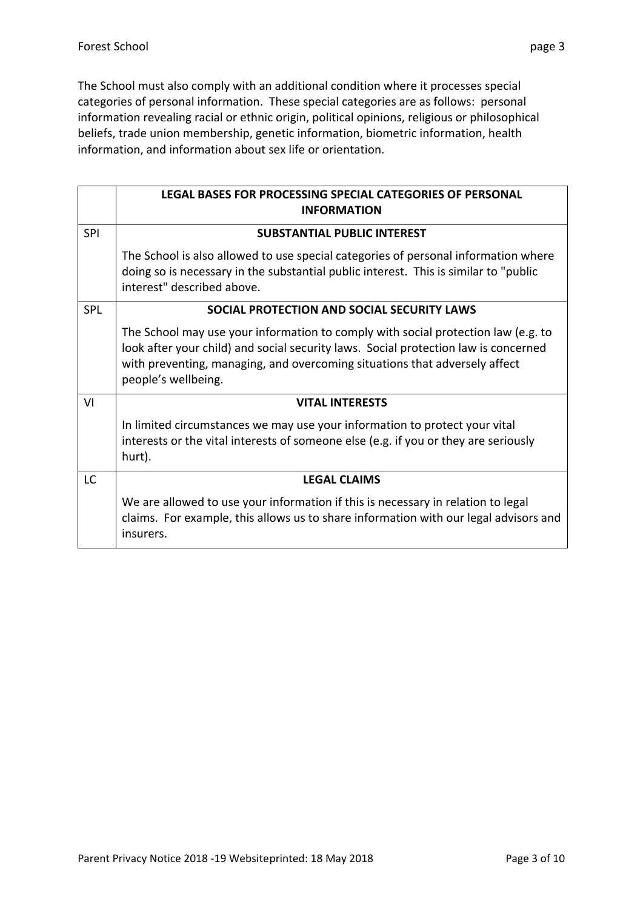The School must also comply with an additional condition where it processes special categories of personal information. These special categories are as follows: personal information revealing racial or ethnic origin, political opinions, religious or philosophical beliefs, trade union membership, genetic information, biometric information, health information, and information about sex life or orientation.

|            | LEGAL BASES FOR PROCESSING SPECIAL CATEGORIES OF PERSONAL<br><b>INFORMATION</b>                                                                                                                                                                                               |
|------------|-------------------------------------------------------------------------------------------------------------------------------------------------------------------------------------------------------------------------------------------------------------------------------|
| <b>SPI</b> | <b>SUBSTANTIAL PUBLIC INTEREST</b>                                                                                                                                                                                                                                            |
|            | The School is also allowed to use special categories of personal information where<br>doing so is necessary in the substantial public interest. This is similar to "public<br>interest" described above.                                                                      |
| <b>SPL</b> | SOCIAL PROTECTION AND SOCIAL SECURITY LAWS                                                                                                                                                                                                                                    |
|            | The School may use your information to comply with social protection law (e.g. to<br>look after your child) and social security laws. Social protection law is concerned<br>with preventing, managing, and overcoming situations that adversely affect<br>people's wellbeing. |
| VI         | <b>VITAL INTERESTS</b>                                                                                                                                                                                                                                                        |
|            | In limited circumstances we may use your information to protect your vital<br>interests or the vital interests of someone else (e.g. if you or they are seriously<br>hurt).                                                                                                   |
| <b>LC</b>  | <b>LEGAL CLAIMS</b>                                                                                                                                                                                                                                                           |
|            | We are allowed to use your information if this is necessary in relation to legal<br>claims. For example, this allows us to share information with our legal advisors and<br>insurers.                                                                                         |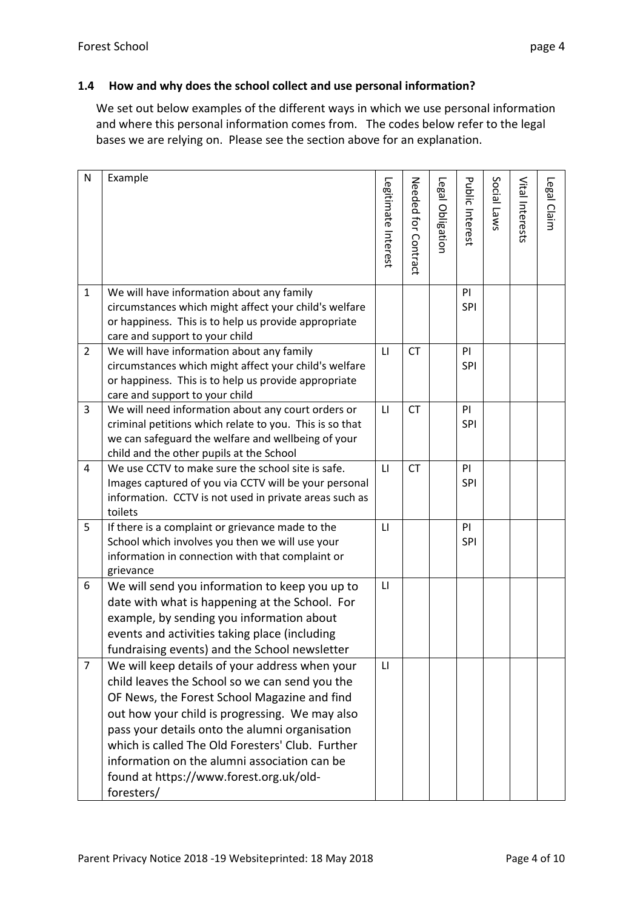### **1.4 How and why does the school collect and use personal information?**

We set out below examples of the different ways in which we use personal information and where this personal information comes from. The codes below refer to the legal bases we are relying on. Please see the section above for an explanation.

| Ν              | Example                                                                                                                                                                                                                                                                                                                                                                                                           | Legitimate Interest | Needed tor Contract | Legal Obligation | Public Interest | Social Laws | Vital Interests | Legal Claim |
|----------------|-------------------------------------------------------------------------------------------------------------------------------------------------------------------------------------------------------------------------------------------------------------------------------------------------------------------------------------------------------------------------------------------------------------------|---------------------|---------------------|------------------|-----------------|-------------|-----------------|-------------|
| 1              | We will have information about any family<br>circumstances which might affect your child's welfare<br>or happiness. This is to help us provide appropriate<br>care and support to your child                                                                                                                                                                                                                      |                     |                     |                  | PI<br>SPI       |             |                 |             |
| $\overline{2}$ | We will have information about any family<br>circumstances which might affect your child's welfare<br>or happiness. This is to help us provide appropriate<br>care and support to your child                                                                                                                                                                                                                      | $\mathsf{L}$        | <b>CT</b>           |                  | PI<br>SPI       |             |                 |             |
| 3              | We will need information about any court orders or<br>criminal petitions which relate to you. This is so that<br>we can safeguard the welfare and wellbeing of your<br>child and the other pupils at the School                                                                                                                                                                                                   | $\mathsf{L}$        | <b>CT</b>           |                  | PI<br>SPI       |             |                 |             |
| 4              | We use CCTV to make sure the school site is safe.<br>Images captured of you via CCTV will be your personal<br>information. CCTV is not used in private areas such as<br>toilets                                                                                                                                                                                                                                   | $\mathsf{L}$        | <b>CT</b>           |                  | PI<br>SPI       |             |                 |             |
| 5              | If there is a complaint or grievance made to the<br>School which involves you then we will use your<br>information in connection with that complaint or<br>grievance                                                                                                                                                                                                                                              | LI                  |                     |                  | PI<br>SPI       |             |                 |             |
| 6              | We will send you information to keep you up to<br>date with what is happening at the School. For<br>example, by sending you information about<br>events and activities taking place (including<br>fundraising events) and the School newsletter                                                                                                                                                                   | $\mathsf{L}$        |                     |                  |                 |             |                 |             |
| 7              | We will keep details of your address when your<br>child leaves the School so we can send you the<br>OF News, the Forest School Magazine and find<br>out how your child is progressing. We may also<br>pass your details onto the alumni organisation<br>which is called The Old Foresters' Club. Further<br>information on the alumni association can be<br>found at https://www.forest.org.uk/old-<br>foresters/ | LI                  |                     |                  |                 |             |                 |             |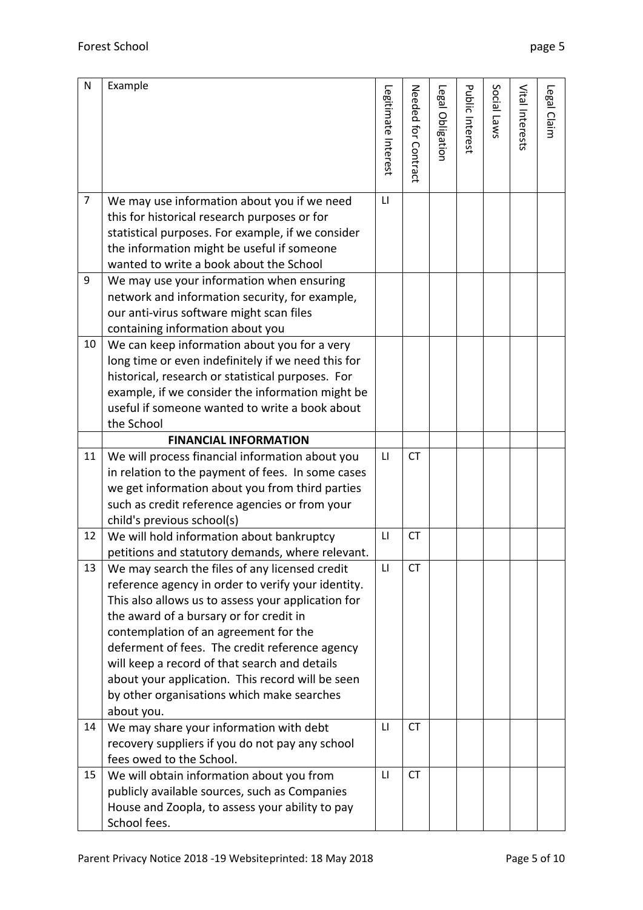| N  | Example                                                                                              | Legitimate Interest | Needed tor Contract | Legal Obligation | <b>Public Interest</b> | Social Laws | Vital Interests | Legal Claim |
|----|------------------------------------------------------------------------------------------------------|---------------------|---------------------|------------------|------------------------|-------------|-----------------|-------------|
|    |                                                                                                      |                     |                     |                  |                        |             |                 |             |
| 7  | We may use information about you if we need                                                          | $\mathsf{L}$        |                     |                  |                        |             |                 |             |
|    | this for historical research purposes or for                                                         |                     |                     |                  |                        |             |                 |             |
|    | statistical purposes. For example, if we consider                                                    |                     |                     |                  |                        |             |                 |             |
|    | the information might be useful if someone                                                           |                     |                     |                  |                        |             |                 |             |
|    | wanted to write a book about the School                                                              |                     |                     |                  |                        |             |                 |             |
| 9  | We may use your information when ensuring                                                            |                     |                     |                  |                        |             |                 |             |
|    | network and information security, for example,                                                       |                     |                     |                  |                        |             |                 |             |
|    | our anti-virus software might scan files                                                             |                     |                     |                  |                        |             |                 |             |
|    | containing information about you                                                                     |                     |                     |                  |                        |             |                 |             |
| 10 | We can keep information about you for a very                                                         |                     |                     |                  |                        |             |                 |             |
|    | long time or even indefinitely if we need this for                                                   |                     |                     |                  |                        |             |                 |             |
|    | historical, research or statistical purposes. For                                                    |                     |                     |                  |                        |             |                 |             |
|    | example, if we consider the information might be                                                     |                     |                     |                  |                        |             |                 |             |
|    | useful if someone wanted to write a book about                                                       |                     |                     |                  |                        |             |                 |             |
|    | the School<br><b>FINANCIAL INFORMATION</b>                                                           |                     |                     |                  |                        |             |                 |             |
| 11 |                                                                                                      | LI                  | <b>CT</b>           |                  |                        |             |                 |             |
|    | We will process financial information about you<br>in relation to the payment of fees. In some cases |                     |                     |                  |                        |             |                 |             |
|    | we get information about you from third parties                                                      |                     |                     |                  |                        |             |                 |             |
|    | such as credit reference agencies or from your                                                       |                     |                     |                  |                        |             |                 |             |
|    | child's previous school(s)                                                                           |                     |                     |                  |                        |             |                 |             |
| 12 | We will hold information about bankruptcy                                                            | LI                  | <b>CT</b>           |                  |                        |             |                 |             |
|    | petitions and statutory demands, where relevant.                                                     |                     |                     |                  |                        |             |                 |             |
| 13 | We may search the files of any licensed credit                                                       | LI                  | <b>CT</b>           |                  |                        |             |                 |             |
|    | reference agency in order to verify your identity.                                                   |                     |                     |                  |                        |             |                 |             |
|    | This also allows us to assess your application for                                                   |                     |                     |                  |                        |             |                 |             |
|    | the award of a bursary or for credit in                                                              |                     |                     |                  |                        |             |                 |             |
|    | contemplation of an agreement for the                                                                |                     |                     |                  |                        |             |                 |             |
|    | deferment of fees. The credit reference agency                                                       |                     |                     |                  |                        |             |                 |             |
|    | will keep a record of that search and details                                                        |                     |                     |                  |                        |             |                 |             |
|    | about your application. This record will be seen                                                     |                     |                     |                  |                        |             |                 |             |
|    | by other organisations which make searches                                                           |                     |                     |                  |                        |             |                 |             |
|    | about you.                                                                                           |                     |                     |                  |                        |             |                 |             |
| 14 | We may share your information with debt                                                              | $\mathsf{L}$        | <b>CT</b>           |                  |                        |             |                 |             |
|    | recovery suppliers if you do not pay any school                                                      |                     |                     |                  |                        |             |                 |             |
|    | fees owed to the School.                                                                             |                     |                     |                  |                        |             |                 |             |
| 15 | We will obtain information about you from                                                            | LI                  | <b>CT</b>           |                  |                        |             |                 |             |
|    | publicly available sources, such as Companies                                                        |                     |                     |                  |                        |             |                 |             |
|    | House and Zoopla, to assess your ability to pay                                                      |                     |                     |                  |                        |             |                 |             |
|    | School fees.                                                                                         |                     |                     |                  |                        |             |                 |             |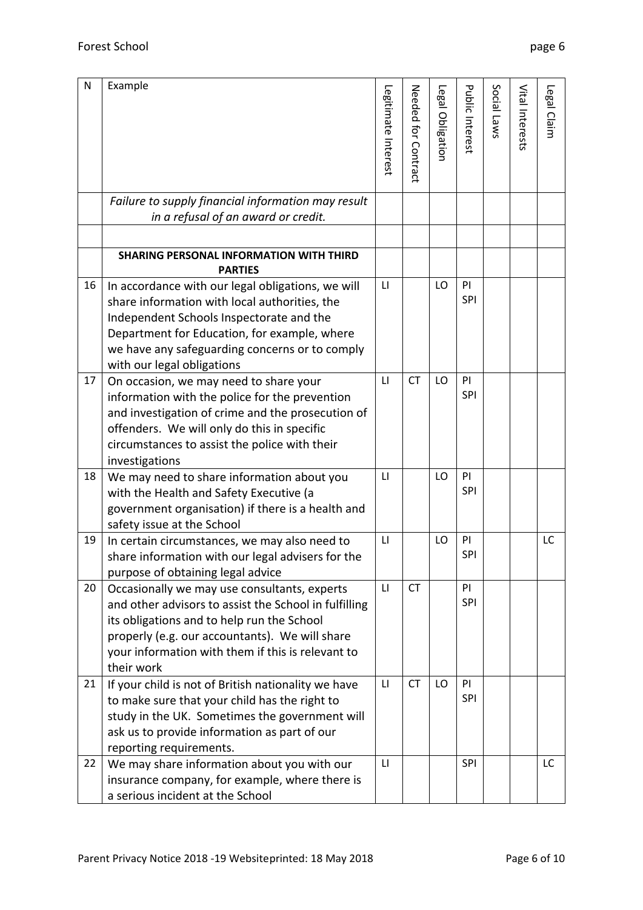| N  | Example                                                                            |                        |                     |                  |                 |             |                 |             |
|----|------------------------------------------------------------------------------------|------------------------|---------------------|------------------|-----------------|-------------|-----------------|-------------|
|    |                                                                                    | Legitimate Interest    | Needed tor Contract | Legal Obligation | Public Interest | Social Laws | Vital Interests | Legal Claim |
|    |                                                                                    |                        |                     |                  |                 |             |                 |             |
|    |                                                                                    |                        |                     |                  |                 |             |                 |             |
|    |                                                                                    |                        |                     |                  |                 |             |                 |             |
|    |                                                                                    |                        |                     |                  |                 |             |                 |             |
|    |                                                                                    |                        |                     |                  |                 |             |                 |             |
|    | Failure to supply financial information may result                                 |                        |                     |                  |                 |             |                 |             |
|    | in a refusal of an award or credit.                                                |                        |                     |                  |                 |             |                 |             |
|    |                                                                                    |                        |                     |                  |                 |             |                 |             |
|    | SHARING PERSONAL INFORMATION WITH THIRD                                            |                        |                     |                  |                 |             |                 |             |
|    | <b>PARTIES</b>                                                                     |                        |                     |                  |                 |             |                 |             |
| 16 | In accordance with our legal obligations, we will                                  | LI                     |                     | LO               | PI              |             |                 |             |
|    | share information with local authorities, the                                      |                        |                     |                  | SPI             |             |                 |             |
|    | Independent Schools Inspectorate and the                                           |                        |                     |                  |                 |             |                 |             |
|    | Department for Education, for example, where                                       |                        |                     |                  |                 |             |                 |             |
|    | we have any safeguarding concerns or to comply                                     |                        |                     |                  |                 |             |                 |             |
|    | with our legal obligations                                                         |                        |                     |                  |                 |             |                 |             |
| 17 | On occasion, we may need to share your                                             | $\mathsf{L}$           | <b>CT</b>           | LO               | <b>PI</b>       |             |                 |             |
|    | information with the police for the prevention                                     |                        |                     |                  | SPI             |             |                 |             |
|    | and investigation of crime and the prosecution of                                  |                        |                     |                  |                 |             |                 |             |
|    | offenders. We will only do this in specific                                        |                        |                     |                  |                 |             |                 |             |
|    | circumstances to assist the police with their                                      |                        |                     |                  |                 |             |                 |             |
|    | investigations                                                                     |                        |                     |                  |                 |             |                 |             |
| 18 | We may need to share information about you                                         | $\mathsf{L}\mathsf{I}$ |                     | LO               | PI              |             |                 |             |
|    | with the Health and Safety Executive (a                                            |                        |                     |                  | SPI             |             |                 |             |
|    | government organisation) if there is a health and                                  |                        |                     |                  |                 |             |                 |             |
|    | safety issue at the School                                                         |                        |                     |                  |                 |             |                 |             |
| 19 | In certain circumstances, we may also need to                                      | LI                     |                     | LO               | PI              |             |                 | LC          |
|    | share information with our legal advisers for the                                  |                        |                     |                  | <b>SPI</b>      |             |                 |             |
|    | purpose of obtaining legal advice                                                  |                        |                     |                  |                 |             |                 |             |
| 20 | Occasionally we may use consultants, experts                                       | LI                     | <b>CT</b>           |                  | PI              |             |                 |             |
|    | and other advisors to assist the School in fulfilling                              |                        |                     |                  | <b>SPI</b>      |             |                 |             |
|    | its obligations and to help run the School                                         |                        |                     |                  |                 |             |                 |             |
|    | properly (e.g. our accountants). We will share                                     |                        |                     |                  |                 |             |                 |             |
|    | your information with them if this is relevant to                                  |                        |                     |                  |                 |             |                 |             |
|    | their work                                                                         |                        | <b>CT</b>           |                  |                 |             |                 |             |
| 21 | If your child is not of British nationality we have                                | $\mathsf{L}\mathsf{I}$ |                     | LO               | PI<br>SPI       |             |                 |             |
|    | to make sure that your child has the right to                                      |                        |                     |                  |                 |             |                 |             |
|    | study in the UK. Sometimes the government will                                     |                        |                     |                  |                 |             |                 |             |
|    | ask us to provide information as part of our                                       |                        |                     |                  |                 |             |                 |             |
| 22 | reporting requirements.                                                            | LI                     |                     |                  | SPI             |             |                 | LC          |
|    | We may share information about you with our                                        |                        |                     |                  |                 |             |                 |             |
|    | insurance company, for example, where there is<br>a serious incident at the School |                        |                     |                  |                 |             |                 |             |
|    |                                                                                    |                        |                     |                  |                 |             |                 |             |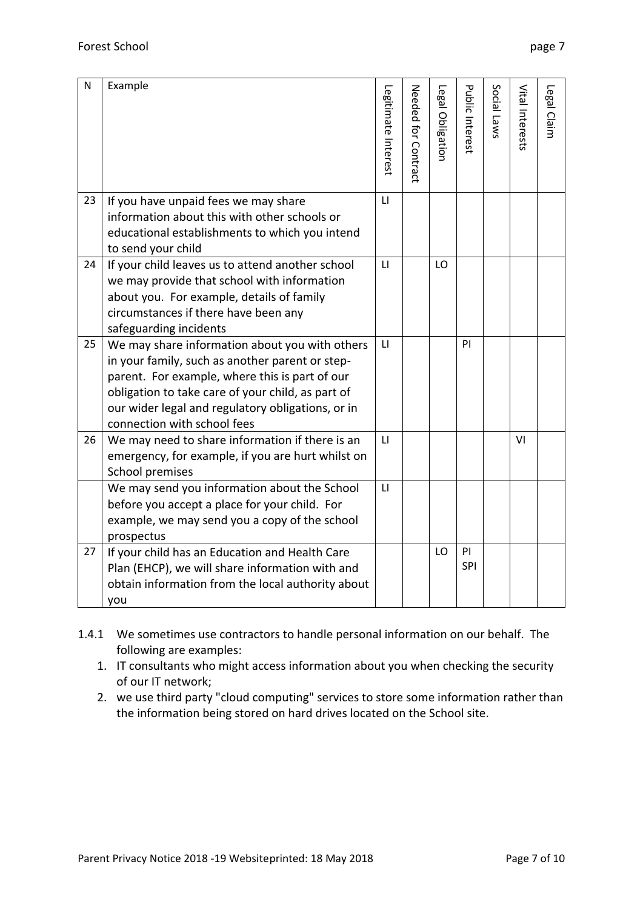| N  | Example                                                                                                                                                                                                                                                                                      | Legitimate Interest | Needed tor Contract | Legal Obligation | Public Interest | Social Laws | Vital Interests | Legal Claim |
|----|----------------------------------------------------------------------------------------------------------------------------------------------------------------------------------------------------------------------------------------------------------------------------------------------|---------------------|---------------------|------------------|-----------------|-------------|-----------------|-------------|
| 23 | If you have unpaid fees we may share<br>information about this with other schools or<br>educational establishments to which you intend<br>to send your child                                                                                                                                 | $\mathsf{L}$        |                     |                  |                 |             |                 |             |
| 24 | If your child leaves us to attend another school<br>we may provide that school with information<br>about you. For example, details of family<br>circumstances if there have been any<br>safeguarding incidents                                                                               | $\mathsf{L}$        |                     | LO               |                 |             |                 |             |
| 25 | We may share information about you with others<br>in your family, such as another parent or step-<br>parent. For example, where this is part of our<br>obligation to take care of your child, as part of<br>our wider legal and regulatory obligations, or in<br>connection with school fees | $\mathsf{L}$        |                     |                  | PI              |             |                 |             |
| 26 | We may need to share information if there is an<br>emergency, for example, if you are hurt whilst on<br>School premises                                                                                                                                                                      | $\mathsf{L}$        |                     |                  |                 |             | VI              |             |
|    | We may send you information about the School<br>before you accept a place for your child. For<br>example, we may send you a copy of the school<br>prospectus                                                                                                                                 | $\mathsf{L}$        |                     |                  |                 |             |                 |             |
| 27 | If your child has an Education and Health Care<br>Plan (EHCP), we will share information with and<br>obtain information from the local authority about<br>you                                                                                                                                |                     |                     | LO               | PI<br>SPI       |             |                 |             |

- 1.4.1 We sometimes use contractors to handle personal information on our behalf. The following are examples:
	- 1. IT consultants who might access information about you when checking the security of our IT network;
	- 2. we use third party "cloud computing" services to store some information rather than the information being stored on hard drives located on the School site.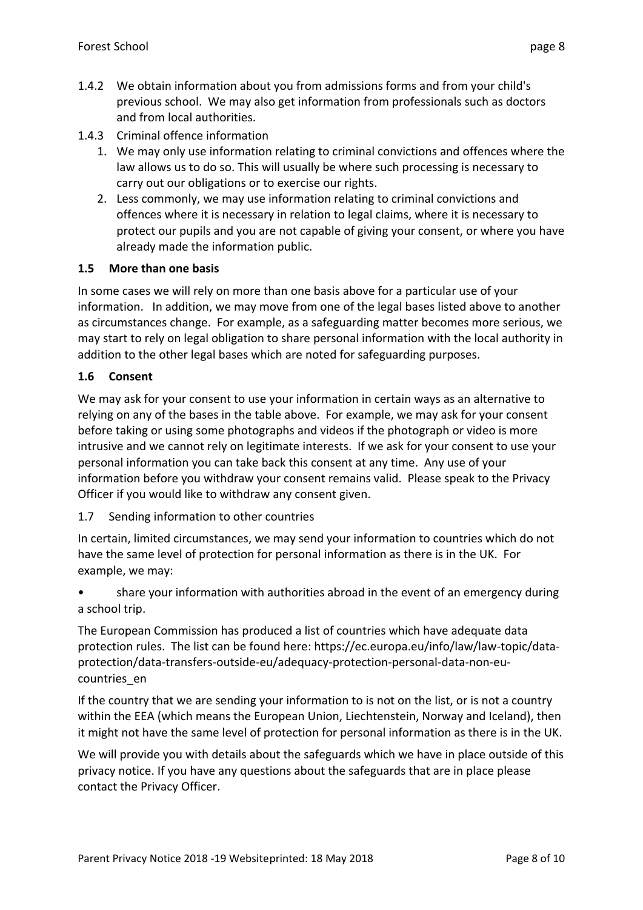- 1.4.2 We obtain information about you from admissions forms and from your child's previous school. We may also get information from professionals such as doctors and from local authorities.
- 1.4.3 Criminal offence information
	- 1. We may only use information relating to criminal convictions and offences where the law allows us to do so. This will usually be where such processing is necessary to carry out our obligations or to exercise our rights.
	- 2. Less commonly, we may use information relating to criminal convictions and offences where it is necessary in relation to legal claims, where it is necessary to protect our pupils and you are not capable of giving your consent, or where you have already made the information public.

#### **1.5 More than one basis**

In some cases we will rely on more than one basis above for a particular use of your information. In addition, we may move from one of the legal bases listed above to another as circumstances change. For example, as a safeguarding matter becomes more serious, we may start to rely on legal obligation to share personal information with the local authority in addition to the other legal bases which are noted for safeguarding purposes.

#### **1.6 Consent**

We may ask for your consent to use your information in certain ways as an alternative to relying on any of the bases in the table above. For example, we may ask for your consent before taking or using some photographs and videos if the photograph or video is more intrusive and we cannot rely on legitimate interests. If we ask for your consent to use your personal information you can take back this consent at any time. Any use of your information before you withdraw your consent remains valid. Please speak to the Privacy Officer if you would like to withdraw any consent given.

1.7 Sending information to other countries

In certain, limited circumstances, we may send your information to countries which do not have the same level of protection for personal information as there is in the UK. For example, we may:

• share your information with authorities abroad in the event of an emergency during a school trip.

The European Commission has produced a list of countries which have adequate data protection rules. The list can be found here: https://ec.europa.eu/info/law/law-topic/dataprotection/data-transfers-outside-eu/adequacy-protection-personal-data-non-eucountries\_en

If the country that we are sending your information to is not on the list, or is not a country within the EEA (which means the European Union, Liechtenstein, Norway and Iceland), then it might not have the same level of protection for personal information as there is in the UK.

We will provide you with details about the safeguards which we have in place outside of this privacy notice. If you have any questions about the safeguards that are in place please contact the Privacy Officer.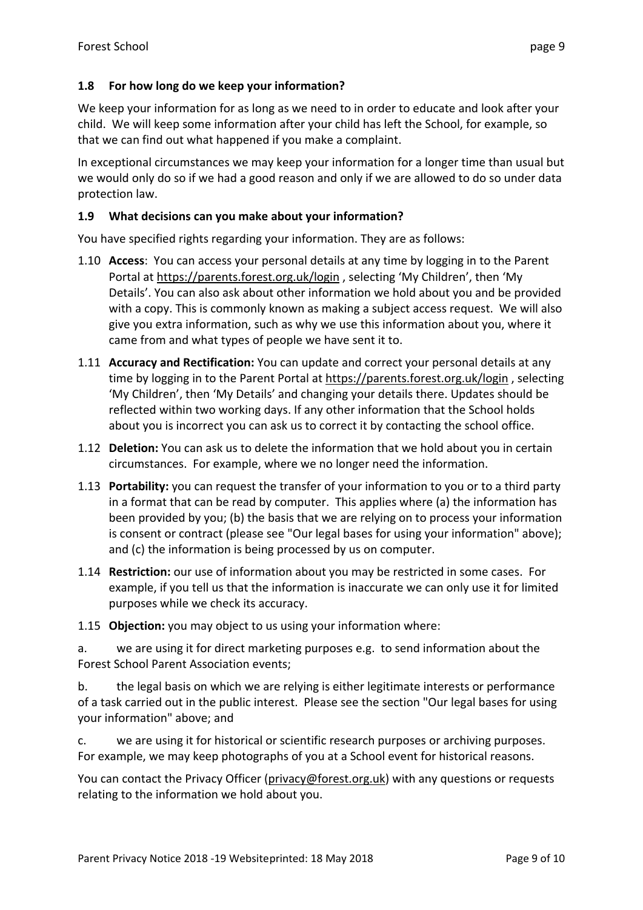# **1.8 For how long do we keep your information?**

We keep your information for as long as we need to in order to educate and look after your child. We will keep some information after your child has left the School, for example, so that we can find out what happened if you make a complaint.

In exceptional circumstances we may keep your information for a longer time than usual but we would only do so if we had a good reason and only if we are allowed to do so under data protection law.

#### **1.9 What decisions can you make about your information?**

You have specified rights regarding your information. They are as follows:

- 1.10 **Access**: You can access your personal details at any time by logging in to the Parent Portal at<https://parents.forest.org.uk/login>, selecting 'My Children', then 'My Details'. You can also ask about other information we hold about you and be provided with a copy. This is commonly known as making a subject access request. We will also give you extra information, such as why we use this information about you, where it came from and what types of people we have sent it to.
- 1.11 **Accuracy and Rectification:** You can update and correct your personal details at any time by logging in to the Parent Portal at<https://parents.forest.org.uk/login>, selecting 'My Children', then 'My Details' and changing your details there. Updates should be reflected within two working days. If any other information that the School holds about you is incorrect you can ask us to correct it by contacting the school office.
- 1.12 **Deletion:** You can ask us to delete the information that we hold about you in certain circumstances. For example, where we no longer need the information.
- 1.13 **Portability:** you can request the transfer of your information to you or to a third party in a format that can be read by computer. This applies where (a) the information has been provided by you; (b) the basis that we are relying on to process your information is consent or contract (please see "Our legal bases for using your information" above); and (c) the information is being processed by us on computer.
- 1.14 **Restriction:** our use of information about you may be restricted in some cases. For example, if you tell us that the information is inaccurate we can only use it for limited purposes while we check its accuracy.

1.15 **Objection:** you may object to us using your information where:

a. we are using it for direct marketing purposes e.g. to send information about the Forest School Parent Association events;

b. the legal basis on which we are relying is either legitimate interests or performance of a task carried out in the public interest. Please see the section "Our legal bases for using your information" above; and

c. we are using it for historical or scientific research purposes or archiving purposes. For example, we may keep photographs of you at a School event for historical reasons.

You can contact the Privacy Officer [\(privacy@forest.org.uk\)](mailto:privacy@forest.org.uk) with any questions or requests relating to the information we hold about you.